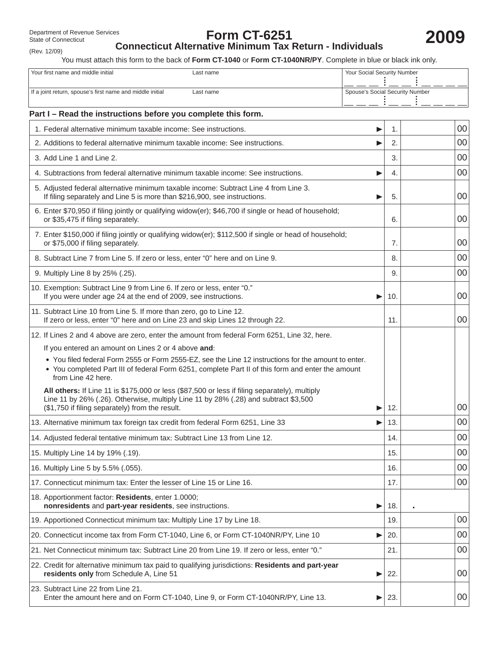# **Form CT-6251**

(Rev. 12/09)

**2009**

# **Connecticut Alternative Minimum Tax Return - Individuals**

You must attach this form to the back of **Form CT-1040** or **Form CT-1040NR/PY**. Complete in blue or black ink only.

| Your first name and middle initial<br>Last name                                                                                           |                                                                                                                                                                                                           | Your Social Security Number |                                 |                 |  |  |  |
|-------------------------------------------------------------------------------------------------------------------------------------------|-----------------------------------------------------------------------------------------------------------------------------------------------------------------------------------------------------------|-----------------------------|---------------------------------|-----------------|--|--|--|
| If a joint return, spouse's first name and middle initial<br>Last name                                                                    |                                                                                                                                                                                                           |                             | Spouse's Social Security Number |                 |  |  |  |
| Part I - Read the instructions before you complete this form.                                                                             |                                                                                                                                                                                                           |                             |                                 |                 |  |  |  |
| 1. Federal alternative minimum taxable income: See instructions.                                                                          |                                                                                                                                                                                                           | ▶                           | 1.                              | 00              |  |  |  |
|                                                                                                                                           | 2. Additions to federal alternative minimum taxable income: See instructions.                                                                                                                             |                             | 2.                              | 00              |  |  |  |
| 3. Add Line 1 and Line 2.                                                                                                                 |                                                                                                                                                                                                           |                             | 3.                              | 00              |  |  |  |
|                                                                                                                                           | 4. Subtractions from federal alternative minimum taxable income: See instructions.                                                                                                                        | ▶                           | 4.                              | 00              |  |  |  |
|                                                                                                                                           | 5. Adjusted federal alternative minimum taxable income: Subtract Line 4 from Line 3.<br>If filing separately and Line 5 is more than \$216,900, see instructions.                                         | ▶                           | 5.                              | 00              |  |  |  |
| or \$35,475 if filing separately.                                                                                                         | 6. Enter \$70,950 if filing jointly or qualifying widow(er); \$46,700 if single or head of household;                                                                                                     |                             | 6.                              | 00              |  |  |  |
| or \$75,000 if filing separately.                                                                                                         | 7. Enter \$150,000 if filing jointly or qualifying widow(er); \$112,500 if single or head of household;                                                                                                   |                             |                                 |                 |  |  |  |
|                                                                                                                                           | 8. Subtract Line 7 from Line 5. If zero or less, enter "0" here and on Line 9.                                                                                                                            |                             | 8.                              | 00              |  |  |  |
| 9. Multiply Line 8 by 25% (.25).                                                                                                          |                                                                                                                                                                                                           |                             | 9.                              | 00              |  |  |  |
| 10. Exemption: Subtract Line 9 from Line 6. If zero or less, enter "0."<br>If you were under age 24 at the end of 2009, see instructions. |                                                                                                                                                                                                           | ▶                           | 10.                             | 00              |  |  |  |
| 11. Subtract Line 10 from Line 5. If more than zero, go to Line 12.                                                                       | If zero or less, enter "0" here and on Line 23 and skip Lines 12 through 22.                                                                                                                              |                             | 11.                             | 00              |  |  |  |
|                                                                                                                                           | 12. If Lines 2 and 4 above are zero, enter the amount from federal Form 6251, Line 32, here.                                                                                                              |                             |                                 |                 |  |  |  |
| If you entered an amount on Lines 2 or 4 above and:                                                                                       |                                                                                                                                                                                                           |                             |                                 |                 |  |  |  |
| from Line 42 here.                                                                                                                        | . You filed federal Form 2555 or Form 2555-EZ, see the Line 12 instructions for the amount to enter.<br>• You completed Part III of federal Form 6251, complete Part II of this form and enter the amount |                             |                                 |                 |  |  |  |
| (\$1,750 if filing separately) from the result.                                                                                           | All others: If Line 11 is \$175,000 or less (\$87,500 or less if filing separately), multiply<br>Line 11 by 26% (.26). Otherwise, multiply Line 11 by 28% (.28) and subtract \$3,500                      | ▶                           | 12.                             | 00              |  |  |  |
|                                                                                                                                           | 13. Alternative minimum tax foreign tax credit from federal Form 6251, Line 33                                                                                                                            |                             | 13.                             | 00              |  |  |  |
|                                                                                                                                           | 14. Adjusted federal tentative minimum tax: Subtract Line 13 from Line 12.                                                                                                                                |                             | 14.                             | $00\,$          |  |  |  |
| 15. Multiply Line 14 by 19% (.19).                                                                                                        |                                                                                                                                                                                                           |                             | 15.                             | $00\,$          |  |  |  |
| 16. Multiply Line 5 by 5.5% (.055).                                                                                                       |                                                                                                                                                                                                           |                             | 16.                             | 00              |  |  |  |
| 17. Connecticut minimum tax: Enter the lesser of Line 15 or Line 16.                                                                      |                                                                                                                                                                                                           |                             | 17.                             | 00              |  |  |  |
| 18. Apportionment factor: Residents, enter 1.0000;<br>nonresidents and part-year residents, see instructions.<br>▶                        |                                                                                                                                                                                                           |                             |                                 |                 |  |  |  |
| 19. Apportioned Connecticut minimum tax: Multiply Line 17 by Line 18.                                                                     |                                                                                                                                                                                                           |                             | 19.                             | $00\,$          |  |  |  |
|                                                                                                                                           | 20. Connecticut income tax from Form CT-1040, Line 6, or Form CT-1040NR/PY, Line 10                                                                                                                       | ▶                           | 20.                             | 00              |  |  |  |
|                                                                                                                                           | 21. Net Connecticut minimum tax: Subtract Line 20 from Line 19. If zero or less, enter "0."                                                                                                               |                             | 21.                             | 00              |  |  |  |
| residents only from Schedule A, Line 51                                                                                                   | 22. Credit for alternative minimum tax paid to qualifying jurisdictions: Residents and part-year                                                                                                          | ▶                           | 22.                             | 00              |  |  |  |
| 23. Subtract Line 22 from Line 21.                                                                                                        | Enter the amount here and on Form CT-1040, Line 9, or Form CT-1040NR/PY, Line 13.                                                                                                                         | ▶                           | 23.                             | 00 <sup>°</sup> |  |  |  |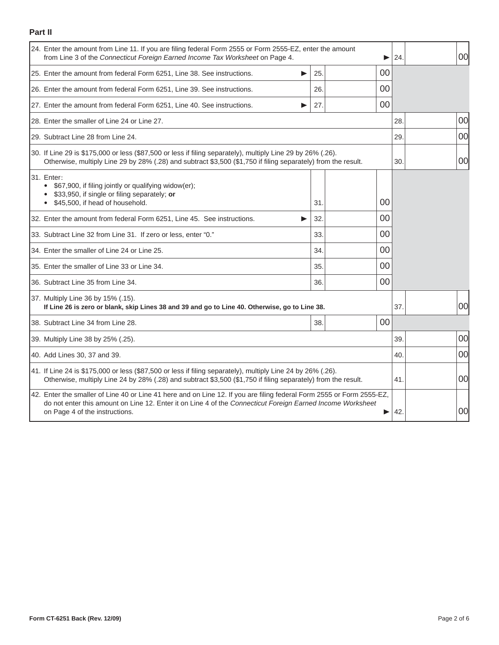## **Part II**

|                                                                                                                                                                                                                                                                            | 24. Enter the amount from Line 11. If you are filing federal Form 2555 or Form 2555-EZ, enter the amount<br>from Line 3 of the Connecticut Foreign Earned Income Tax Worksheet on Page 4.                                    |     |  |    |     |  | 00 |
|----------------------------------------------------------------------------------------------------------------------------------------------------------------------------------------------------------------------------------------------------------------------------|------------------------------------------------------------------------------------------------------------------------------------------------------------------------------------------------------------------------------|-----|--|----|-----|--|----|
|                                                                                                                                                                                                                                                                            | 25. Enter the amount from federal Form 6251, Line 38. See instructions.<br>▶                                                                                                                                                 | 25. |  | 00 |     |  |    |
|                                                                                                                                                                                                                                                                            | 26. Enter the amount from federal Form 6251, Line 39. See instructions.                                                                                                                                                      | 26. |  | 00 |     |  |    |
|                                                                                                                                                                                                                                                                            | 27. Enter the amount from federal Form 6251, Line 40. See instructions.                                                                                                                                                      | 27. |  | 00 |     |  |    |
|                                                                                                                                                                                                                                                                            | 28. Enter the smaller of Line 24 or Line 27.                                                                                                                                                                                 |     |  |    |     |  | 00 |
|                                                                                                                                                                                                                                                                            | 29. Subtract Line 28 from Line 24.                                                                                                                                                                                           |     |  |    |     |  | 00 |
|                                                                                                                                                                                                                                                                            | 30. If Line 29 is \$175,000 or less (\$87,500 or less if filing separately), multiply Line 29 by 26% (.26).<br>Otherwise, multiply Line 29 by 28% (.28) and subtract \$3,500 (\$1,750 if filing separately) from the result. |     |  |    |     |  | 00 |
|                                                                                                                                                                                                                                                                            | 31. Enter:<br>\$67,900, if filing jointly or qualifying widow(er);<br>\$33,950, if single or filing separately; or<br>• \$45,500, if head of household.                                                                      | 31. |  | 00 |     |  |    |
|                                                                                                                                                                                                                                                                            | 32. Enter the amount from federal Form 6251, Line 45. See instructions.<br>▶                                                                                                                                                 | 32. |  | 00 |     |  |    |
|                                                                                                                                                                                                                                                                            | 33. Subtract Line 32 from Line 31. If zero or less, enter "0."                                                                                                                                                               | 33. |  | 00 |     |  |    |
|                                                                                                                                                                                                                                                                            | 34. Enter the smaller of Line 24 or Line 25.                                                                                                                                                                                 | 34. |  | 00 |     |  |    |
|                                                                                                                                                                                                                                                                            | 35. Enter the smaller of Line 33 or Line 34.                                                                                                                                                                                 | 35. |  | 00 |     |  |    |
|                                                                                                                                                                                                                                                                            | 36. Subtract Line 35 from Line 34.                                                                                                                                                                                           | 36. |  | 00 |     |  |    |
| 37. Multiply Line 36 by 15% (.15).<br>If Line 26 is zero or blank, skip Lines 38 and 39 and go to Line 40. Otherwise, go to Line 38.                                                                                                                                       |                                                                                                                                                                                                                              |     |  |    |     |  | 00 |
|                                                                                                                                                                                                                                                                            | 38. Subtract Line 34 from Line 28.                                                                                                                                                                                           | 38. |  | 00 |     |  |    |
| 39. Multiply Line 38 by 25% (.25).                                                                                                                                                                                                                                         |                                                                                                                                                                                                                              |     |  |    |     |  | 00 |
| 40. Add Lines 30, 37 and 39.                                                                                                                                                                                                                                               |                                                                                                                                                                                                                              |     |  |    |     |  | 00 |
| 41. If Line 24 is \$175,000 or less (\$87,500 or less if filing separately), multiply Line 24 by 26% (.26).<br>Otherwise, multiply Line 24 by 28% (.28) and subtract \$3,500 (\$1,750 if filing separately) from the result.                                               |                                                                                                                                                                                                                              |     |  |    | 41. |  | 00 |
| 42. Enter the smaller of Line 40 or Line 41 here and on Line 12. If you are filing federal Form 2555 or Form 2555-EZ,<br>do not enter this amount on Line 12. Enter it on Line 4 of the Connecticut Foreign Earned Income Worksheet<br>on Page 4 of the instructions.<br>▶ |                                                                                                                                                                                                                              |     |  |    | 42  |  | 00 |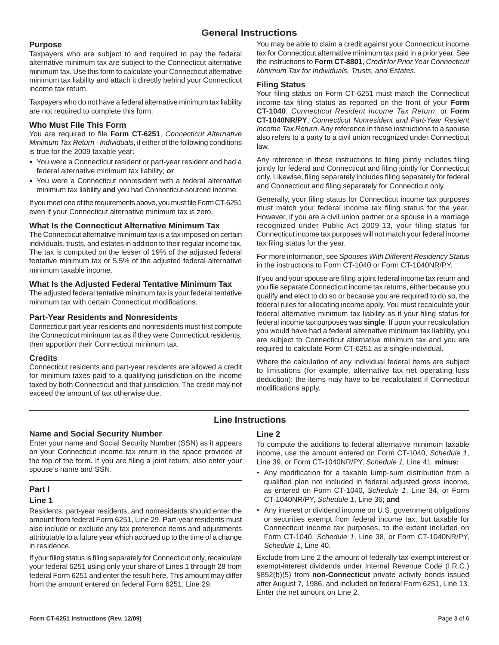## **General Instructions**

#### **Purpose**

Taxpayers who are subject to and required to pay the federal alternative minimum tax are subject to the Connecticut alternative minimum tax. Use this form to calculate your Connecticut alternative minimum tax liability and attach it directly behind your Connecticut income tax return.

Taxpayers who do not have a federal alternative minimum tax liability are not required to complete this form.

#### **Who Must File This Form**

You are required to file Form CT-6251, Connecticut Alternative *Minimum Tax Return - Individuals*, if either of the following conditions is true for the 2009 taxable year:

- You were a Connecticut resident or part-year resident and had a federal alternative minimum tax liability; **or**
- You were a Connecticut nonresident with a federal alternative minimum tax liability **and** you had Connecticut-sourced income.

If you meet one of the requirements above, you must file Form CT-6251 even if your Connecticut alternative minimum tax is zero.

#### **What Is the Connecticut Alternative Minimum Tax**

The Connecticut alternative minimum tax is a tax imposed on certain individuals, trusts, and estates in addition to their regular income tax. The tax is computed on the lesser of 19% of the adjusted federal tentative minimum tax or 5.5% of the adjusted federal alternative minimum taxable income.

#### **What Is the Adjusted Federal Tentative Minimum Tax**

The adjusted federal tentative minimum tax is your federal tentative minimum tax with certain Connecticut modifications.

#### **Part-Year Residents and Nonresidents**

Connecticut part-year residents and nonresidents must first compute the Connecticut minimum tax as if they were Connecticut residents, then apportion their Connecticut minimum tax.

#### **Credits**

Connecticut residents and part-year residents are allowed a credit for minimum taxes paid to a qualifying jurisdiction on the income taxed by both Connecticut and that jurisdiction. The credit may not exceed the amount of tax otherwise due.

You may be able to claim a credit against your Connecticut income tax for Connecticut alternative minimum tax paid in a prior year. See the instructions to **Form CT-8801**, *Credit for Prior Year Connecticut Minimum Tax for Individuals, Trusts, and Estates.*

#### **Filing Status**

Your filing status on Form CT-6251 must match the Connecticut income tax filing status as reported on the front of your Form **CT-1040**, *Connecticut Resident Income Tax Return*, or **Form CT-1040NR/PY**, *Connecticut Nonresident and Part-Year Resient Income Tax Return*. Any reference in these instructions to a spouse also refers to a party to a civil union recognized under Connecticut law.

Any reference in these instructions to filing jointly includes filing jointly for federal and Connecticut and filing jointly for Connecticut only. Likewise, filing separately includes filing separately for federal and Connecticut and filing separately for Connecticut only.

Generally, your filing status for Connecticut income tax purposes must match your federal income tax filing status for the year. However, if you are a civil union partner or a spouse in a marriage recognized under Public Act 2009-13, your filing status for Connecticut income tax purposes will not match your federal income tax filing status for the year.

For more information, see *Spouses With Different Residency Statu*s in the instructions to Form CT-1040 or Form CT-1040NR/PY.

If you and your spouse are filing a joint federal income tax return and you file separate Connecticut income tax returns, either because you qualify **and** elect to do so or because you are required to do so, the federal rules for allocating income apply. You must recalculate your federal alternative minimum tax liability as if your filing status for federal income tax purposes was **single**. If upon your recalculation you would have had a federal alternative minimum tax liability, you are subject to Connecticut alternative minimum tax and you are required to calculate Form CT-6251 as a single individual.

Where the calculation of any individual federal items are subject to limitations (for example, alternative tax net operating loss deduction); the items may have to be recalculated if Connecticut modifications apply.

# **Line Instructions**

#### **Name and Social Security Number**

Enter your name and Social Security Number (SSN) as it appears on your Connecticut income tax return in the space provided at the top of the form. If you are filing a joint return, also enter your spouse's name and SSN.

#### **Part I**

## **Line 1**

Residents, part-year residents, and nonresidents should enter the amount from federal Form 6251, Line 29. Part-year residents must also include or exclude any tax preference items and adjustments attributable to a future year which accrued up to the time of a change in residence.

If your filing status is filing separately for Connecticut only, recalculate your federal 6251 using only your share of Lines 1 through 28 from federal Form 6251 and enter the result here. This amount may differ from the amount entered on federal Form 6251, Line 29.

#### **Line 2**

To compute the additions to federal alternative minimum taxable income, use the amount entered on Form CT-1040, *Schedule 1*, Line 39, or Form CT-1040NR/PY, *Schedule 1*, Line 41, **minus**:

- Any modification for a taxable lump-sum distribution from a qualified plan not included in federal adjusted gross income, as entered on Form CT-1040, *Schedule 1*, Line 34, or Form CT-1040NR/PY, *Schedule 1*, Line 36; **and**
- Any interest or dividend income on U.S. government obligations or securities exempt from federal income tax, but taxable for Connecticut income tax purposes, to the extent included on Form CT-1040, *Schedule 1*, Line 38, or Form CT-1040NR/PY, *Schedule 1*, Line 40.

Exclude from Line 2 the amount of federally tax-exempt interest or exempt-interest dividends under Internal Revenue Code (I.R.C.) §852(b)(5) from **non-Connecticut** private activity bonds issued after August 7, 1986, and included on federal Form 6251, Line 13. Enter the net amount on Line 2.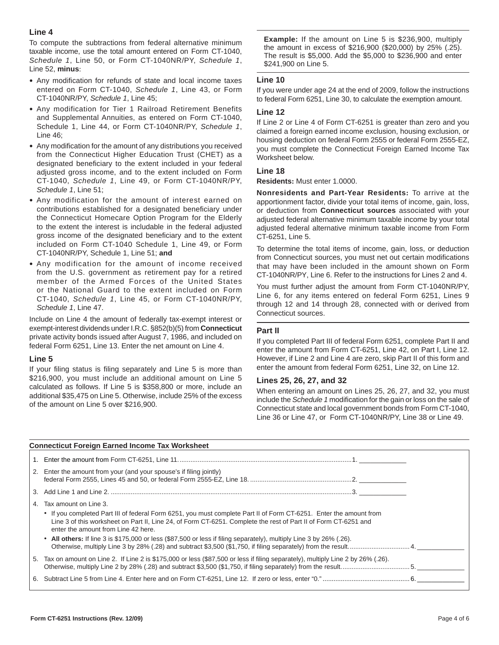#### **Line 4**

To compute the subtractions from federal alternative minimum taxable income, use the total amount entered on Form CT-1040, *Schedule 1*, Line 50, or Form CT-1040NR/PY, *Schedule 1*, Line 52, **minus**:

- Any modification for refunds of state and local income taxes entered on Form CT-1040, *Schedule 1*, Line 43, or Form CT-1040NR/PY, *Schedule 1*, Line 45;
- Any modification for Tier 1 Railroad Retirement Benefits and Supplemental Annuities, as entered on Form CT-1040, Schedule 1, Line 44, or Form CT-1040NR/PY, *Schedule 1*, Line 46;
- Any modification for the amount of any distributions you received from the Connecticut Higher Education Trust (CHET) as a designated beneficiary to the extent included in your federal adjusted gross income, and to the extent included on Form CT-1040, *Schedule 1*, Line 49, or Form CT-1040NR/PY, *Schedule 1*, Line 51;
- Any modification for the amount of interest earned on contributions established for a designated beneficiary under the Connecticut Homecare Option Program for the Elderly to the extent the interest is includable in the federal adjusted gross income of the designated beneficiary and to the extent included on Form CT-1040 Schedule 1, Line 49, or Form CT-1040NR/PY, Schedule 1, Line 51; **and**
- Any modification for the amount of income received from the U.S. government as retirement pay for a retired member of the Armed Forces of the United States or the National Guard to the extent included on Form CT-1040, *Schedule 1*, Line 45, or Form CT-1040NR/PY, *Schedule 1*, Line 47.

Include on Line 4 the amount of federally tax-exempt interest or exempt-interest dividends under I.R.C. §852(b)(5) from **Connecticut**  private activity bonds issued after August 7, 1986, and included on federal Form 6251, Line 13. Enter the net amount on Line 4.

#### **Line 5**

If your filing status is filing separately and Line 5 is more than \$216,900, you must include an additional amount on Line 5 calculated as follows. If Line 5 is \$358,800 or more, include an additional \$35,475 on Line 5. Otherwise, include 25% of the excess of the amount on Line 5 over \$216,900.

**Example:** If the amount on Line 5 is \$236,900, multiply the amount in excess of \$216,900 (\$20,000) by 25% (.25). The result is \$5,000. Add the \$5,000 to \$236,900 and enter \$241,900 on Line 5.

#### **Line 10**

If you were under age 24 at the end of 2009, follow the instructions to federal Form 6251, Line 30, to calculate the exemption amount.

#### **Line 12**

If Line 2 or Line 4 of Form CT-6251 is greater than zero and you claimed a foreign earned income exclusion, housing exclusion, or housing deduction on federal Form 2555 or federal Form 2555-EZ, you must complete the Connecticut Foreign Earned Income Tax Worksheet below.

#### **Line 18**

**Residents:** Must enter 1.0000.

**Nonresidents and Part-Year Residents:** To arrive at the apportionment factor, divide your total items of income, gain, loss, or deduction from **Connecticut sources** associated with your adjusted federal alternative minimum taxable income by your total adjusted federal alternative minimum taxable income from Form CT-6251, Line 5.

To determine the total items of income, gain, loss, or deduction from Connecticut sources, you must net out certain modifications that may have been included in the amount shown on Form CT-1040NR/PY, Line 6. Refer to the instructions for Lines 2 and 4.

You must further adjust the amount from Form CT-1040NR/PY, Line 6, for any items entered on federal Form 6251, Lines 9 through 12 and 14 through 28, connected with or derived from Connecticut sources.

#### **Part II**

If you completed Part III of federal Form 6251, complete Part II and enter the amount from Form CT-6251, Line 42, on Part I, Line 12. However, if Line 2 and Line 4 are zero, skip Part II of this form and enter the amount from federal Form 6251, Line 32, on Line 12.

#### **Lines 25, 26, 27, and 32**

When entering an amount on Lines 25, 26, 27, and 32, you must include the *Schedule 1* modification for the gain or loss on the sale of Connecticut state and local government bonds from Form CT-1040, Line 36 or Line 47, or Form CT-1040NR/PY, Line 38 or Line 49.

| <b>Connecticut Foreign Earned Income Tax Worksheet</b> |                                                                                                                                                                                                                                                                                                       |  |  |  |  |  |  |
|--------------------------------------------------------|-------------------------------------------------------------------------------------------------------------------------------------------------------------------------------------------------------------------------------------------------------------------------------------------------------|--|--|--|--|--|--|
| 1.                                                     |                                                                                                                                                                                                                                                                                                       |  |  |  |  |  |  |
|                                                        | 2. Enter the amount from your (and your spouse's if filing jointly)                                                                                                                                                                                                                                   |  |  |  |  |  |  |
| 3.                                                     |                                                                                                                                                                                                                                                                                                       |  |  |  |  |  |  |
| 4.                                                     | Tax amount on Line 3.<br>• If you completed Part III of federal Form 6251, you must complete Part II of Form CT-6251. Enter the amount from<br>Line 3 of this worksheet on Part II, Line 24, of Form CT-6251. Complete the rest of Part II of Form CT-6251 and<br>enter the amount from Line 42 here. |  |  |  |  |  |  |
|                                                        | • All others: If line 3 is \$175,000 or less (\$87,500 or less if filing separately), multiply Line 3 by 26% (.26).                                                                                                                                                                                   |  |  |  |  |  |  |
|                                                        | 5. Tax on amount on Line 2. If Line 2 is \$175,000 or less (\$87,500 or less if filing separately), multiply Line 2 by 26% (.26).                                                                                                                                                                     |  |  |  |  |  |  |
|                                                        |                                                                                                                                                                                                                                                                                                       |  |  |  |  |  |  |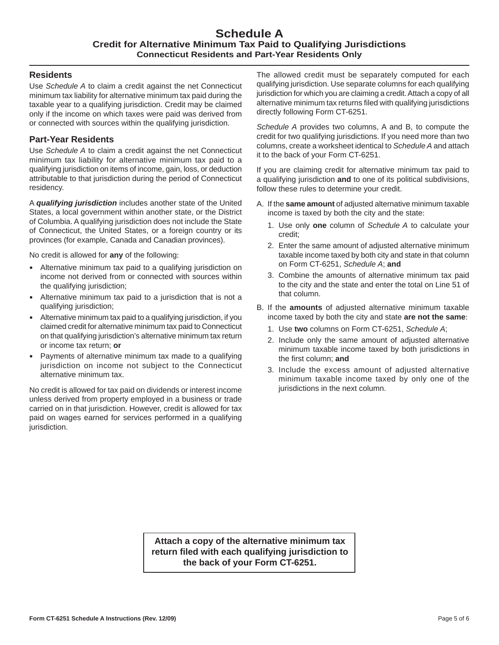## **Schedule A Credit for Alternative Minimum Tax Paid to Qualifying Jurisdictions Connecticut Residents and Part-Year Residents Only**

## **Residents**

Use *Schedule A* to claim a credit against the net Connecticut minimum tax liability for alternative minimum tax paid during the taxable year to a qualifying jurisdiction. Credit may be claimed only if the income on which taxes were paid was derived from or connected with sources within the qualifying jurisdiction.

## **Part-Year Residents**

Use *Schedule A* to claim a credit against the net Connecticut minimum tax liability for alternative minimum tax paid to a qualifying jurisdiction on items of income, gain, loss, or deduction attributable to that jurisdiction during the period of Connecticut residency.

A *qualifying jurisdiction* includes another state of the United States, a local government within another state, or the District of Columbia. A qualifying jurisdiction does not include the State of Connecticut, the United States, or a foreign country or its provinces (for example, Canada and Canadian provinces).

No credit is allowed for **any** of the following:

- Alternative minimum tax paid to a qualifying jurisdiction on income not derived from or connected with sources within the qualifying jurisdiction;
- Alternative minimum tax paid to a jurisdiction that is not a qualifying jurisdiction;
- Alternative minimum tax paid to a qualifying jurisdiction, if you claimed credit for alternative minimum tax paid to Connecticut on that qualifying jurisdiction's alternative minimum tax return or income tax return; **or**
- Payments of alternative minimum tax made to a qualifying jurisdiction on income not subject to the Connecticut alternative minimum tax.

No credit is allowed for tax paid on dividends or interest income unless derived from property employed in a business or trade carried on in that jurisdiction. However, credit is allowed for tax paid on wages earned for services performed in a qualifying jurisdiction.

The allowed credit must be separately computed for each qualifying jurisdiction. Use separate columns for each qualifying jurisdiction for which you are claiming a credit. Attach a copy of all alternative minimum tax returns filed with qualifying jurisdictions directly following Form CT-6251.

*Schedule A* provides two columns, A and B, to compute the credit for two qualifying jurisdictions. If you need more than two columns, create a worksheet identical to *Schedule A* and attach it to the back of your Form CT-6251.

If you are claiming credit for alternative minimum tax paid to a qualifying jurisdiction **and** to one of its political subdivisions, follow these rules to determine your credit.

- A. If the **same amount** of adjusted alternative minimum taxable income is taxed by both the city and the state:
	- 1. Use only **one** column of *Schedule A* to calculate your credit;
	- 2. Enter the same amount of adjusted alternative minimum taxable income taxed by both city and state in that column on Form CT-6251, *Schedule A*; **and**
	- 3. Combine the amounts of alternative minimum tax paid to the city and the state and enter the total on Line 51 of that column.
- B. If the **amounts** of adjusted alternative minimum taxable income taxed by both the city and state **are not the same**:
	- 1. Use **two** columns on Form CT-6251, *Schedule A*;
	- 2. Include only the same amount of adjusted alternative minimum taxable income taxed by both jurisdictions in the first column; and
	- 3. Include the excess amount of adjusted alternative minimum taxable income taxed by only one of the jurisdictions in the next column.

**Attach a copy of the alternative minimum tax return fi led with each qualifying jurisdiction to the back of your Form CT-6251.**